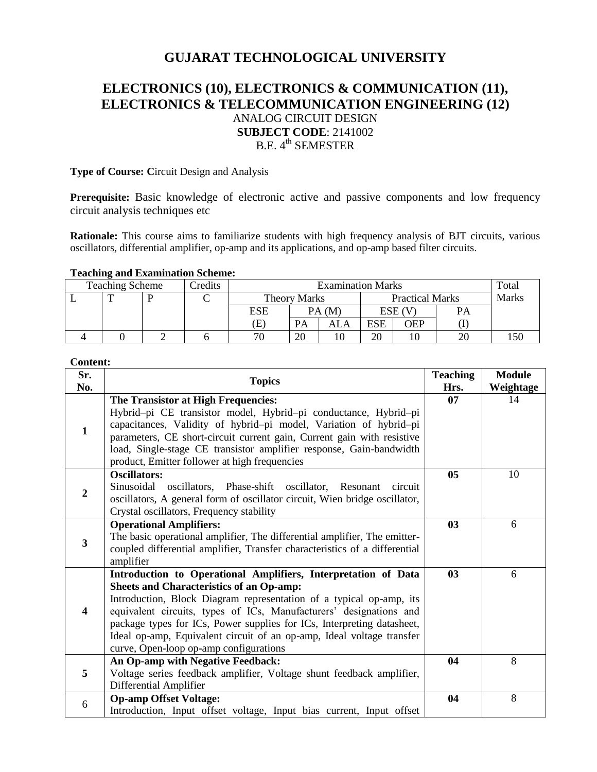# **GUJARAT TECHNOLOGICAL UNIVERSITY**

## **ELECTRONICS (10), ELECTRONICS & COMMUNICATION (11), ELECTRONICS & TELECOMMUNICATION ENGINEERING (12)** ANALOG CIRCUIT DESIGN **SUBJECT CODE**: 2141002 B.E. 4<sup>th</sup> SEMESTER

### **Type of Course: C**ircuit Design and Analysis

**Prerequisite:** Basic knowledge of electronic active and passive components and low frequency circuit analysis techniques etc

**Rationale:** This course aims to familiarize students with high frequency analysis of BJT circuits, various oscillators, differential amplifier, op-amp and its applications, and op-amp based filter circuits.

#### **Teaching and Examination Scheme:**

| <b>Teaching Scheme</b><br>Credits |              |  | <b>Examination Marks</b> |                            |    |                        |     | Total  |       |  |
|-----------------------------------|--------------|--|--------------------------|----------------------------|----|------------------------|-----|--------|-------|--|
|                                   | $\mathbf{r}$ |  |                          | Theory Marks               |    | <b>Practical Marks</b> |     |        | Marks |  |
|                                   |              |  |                          | ESE                        |    | PA (M                  |     | ESE (V | PА    |  |
|                                   |              |  |                          | $\left( \mathrm{E}\right)$ | PA | ALA                    | ESE | OEP    |       |  |
|                                   |              |  |                          | 70                         | 20 |                        | 20  |        | 20    |  |

#### **Content:**

| Sr.<br>No.     | <b>Topics</b>                                                                                                                                                                                                                                                                                                                                                                                                                                               |                | <b>Module</b><br>Weightage |
|----------------|-------------------------------------------------------------------------------------------------------------------------------------------------------------------------------------------------------------------------------------------------------------------------------------------------------------------------------------------------------------------------------------------------------------------------------------------------------------|----------------|----------------------------|
| $\mathbf{1}$   | The Transistor at High Frequencies:<br>Hybrid-pi CE transistor model, Hybrid-pi conductance, Hybrid-pi<br>capacitances, Validity of hybrid-pi model, Variation of hybrid-pi<br>parameters, CE short-circuit current gain, Current gain with resistive<br>load, Single-stage CE transistor amplifier response, Gain-bandwidth<br>product, Emitter follower at high frequencies                                                                               | Hrs.<br>07     | 14                         |
| $\overline{2}$ | <b>Oscillators:</b><br>Sinusoidal oscillators, Phase-shift oscillator, Resonant<br>circuit<br>oscillators, A general form of oscillator circuit, Wien bridge oscillator,<br>Crystal oscillators, Frequency stability                                                                                                                                                                                                                                        | 0 <sub>5</sub> | 10                         |
| 3              | <b>Operational Amplifiers:</b><br>The basic operational amplifier, The differential amplifier, The emitter-<br>coupled differential amplifier, Transfer characteristics of a differential<br>amplifier                                                                                                                                                                                                                                                      | 03             | 6                          |
| 4              | Introduction to Operational Amplifiers, Interpretation of Data<br><b>Sheets and Characteristics of an Op-amp:</b><br>Introduction, Block Diagram representation of a typical op-amp, its<br>equivalent circuits, types of ICs, Manufacturers' designations and<br>package types for ICs, Power supplies for ICs, Interpreting datasheet,<br>Ideal op-amp, Equivalent circuit of an op-amp, Ideal voltage transfer<br>curve, Open-loop op-amp configurations | 0 <sub>3</sub> | 6                          |
| 5              | An Op-amp with Negative Feedback:<br>Voltage series feedback amplifier, Voltage shunt feedback amplifier,<br>Differential Amplifier                                                                                                                                                                                                                                                                                                                         | 04             | 8                          |
| 6              | <b>Op-amp Offset Voltage:</b><br>Introduction, Input offset voltage, Input bias current, Input offset                                                                                                                                                                                                                                                                                                                                                       | 04             | 8                          |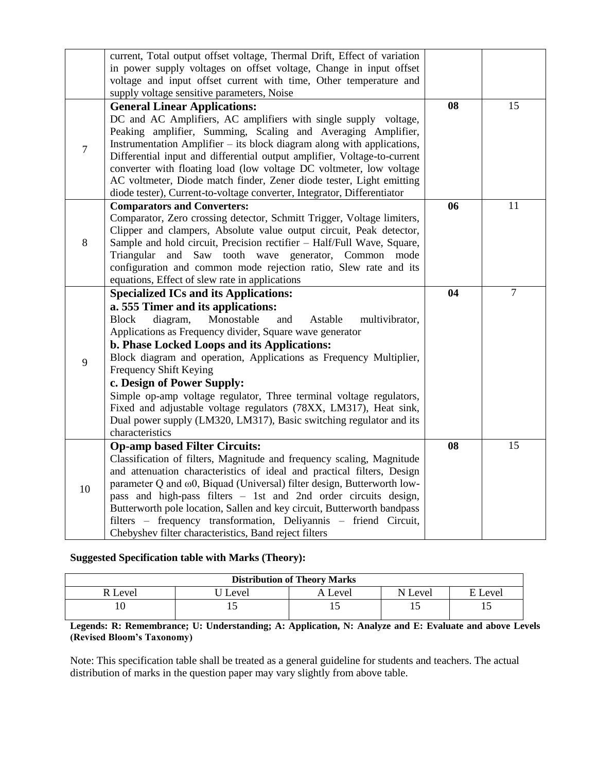|                | current, Total output offset voltage, Thermal Drift, Effect of variation<br>in power supply voltages on offset voltage, Change in input offset<br>voltage and input offset current with time, Other temperature and<br>supply voltage sensitive parameters, Noise                                                                                                                                                                                                                                                                                                                                                                               |    |        |
|----------------|-------------------------------------------------------------------------------------------------------------------------------------------------------------------------------------------------------------------------------------------------------------------------------------------------------------------------------------------------------------------------------------------------------------------------------------------------------------------------------------------------------------------------------------------------------------------------------------------------------------------------------------------------|----|--------|
| $\overline{7}$ | <b>General Linear Applications:</b><br>DC and AC Amplifiers, AC amplifiers with single supply voltage,<br>Peaking amplifier, Summing, Scaling and Averaging Amplifier,<br>Instrumentation Amplifier – its block diagram along with applications,<br>Differential input and differential output amplifier, Voltage-to-current<br>converter with floating load (low voltage DC voltmeter, low voltage<br>AC voltmeter, Diode match finder, Zener diode tester, Light emitting<br>diode tester), Current-to-voltage converter, Integrator, Differentiator                                                                                          | 08 | 15     |
| $\,8\,$        | <b>Comparators and Converters:</b><br>Comparator, Zero crossing detector, Schmitt Trigger, Voltage limiters,<br>Clipper and clampers, Absolute value output circuit, Peak detector,<br>Sample and hold circuit, Precision rectifier - Half/Full Wave, Square,<br>Triangular and Saw tooth wave generator, Common mode<br>configuration and common mode rejection ratio, Slew rate and its<br>equations, Effect of slew rate in applications                                                                                                                                                                                                     | 06 | 11     |
| 9              | <b>Specialized ICs and its Applications:</b><br>a. 555 Timer and its applications:<br>diagram,<br>Monostable<br><b>Block</b><br>and<br>Astable<br>multivibrator,<br>Applications as Frequency divider, Square wave generator<br>b. Phase Locked Loops and its Applications:<br>Block diagram and operation, Applications as Frequency Multiplier,<br>Frequency Shift Keying<br>c. Design of Power Supply:<br>Simple op-amp voltage regulator, Three terminal voltage regulators,<br>Fixed and adjustable voltage regulators (78XX, LM317), Heat sink,<br>Dual power supply (LM320, LM317), Basic switching regulator and its<br>characteristics | 04 | $\tau$ |
| 10             | <b>Op-amp based Filter Circuits:</b><br>Classification of filters, Magnitude and frequency scaling, Magnitude<br>and attenuation characteristics of ideal and practical filters, Design<br>parameter Q and $\omega$ 0, Biquad (Universal) filter design, Butterworth low-<br>pass and high-pass filters - 1st and 2nd order circuits design,<br>Butterworth pole location, Sallen and key circuit, Butterworth bandpass<br>filters - frequency transformation, Deliyannis - friend Circuit,<br>Chebyshev filter characteristics, Band reject filters                                                                                            | 08 | 15     |

## **Suggested Specification table with Marks (Theory):**

| <b>Distribution of Theory Marks</b> |       |              |              |           |  |  |  |
|-------------------------------------|-------|--------------|--------------|-----------|--|--|--|
| . Level                             | Level | Level .<br>д | N<br>' Level | E Level   |  |  |  |
|                                     |       | ΠJ           |              | <b>1.</b> |  |  |  |

**Legends: R: Remembrance; U: Understanding; A: Application, N: Analyze and E: Evaluate and above Levels (Revised Bloom's Taxonomy)**

Note: This specification table shall be treated as a general guideline for students and teachers. The actual distribution of marks in the question paper may vary slightly from above table.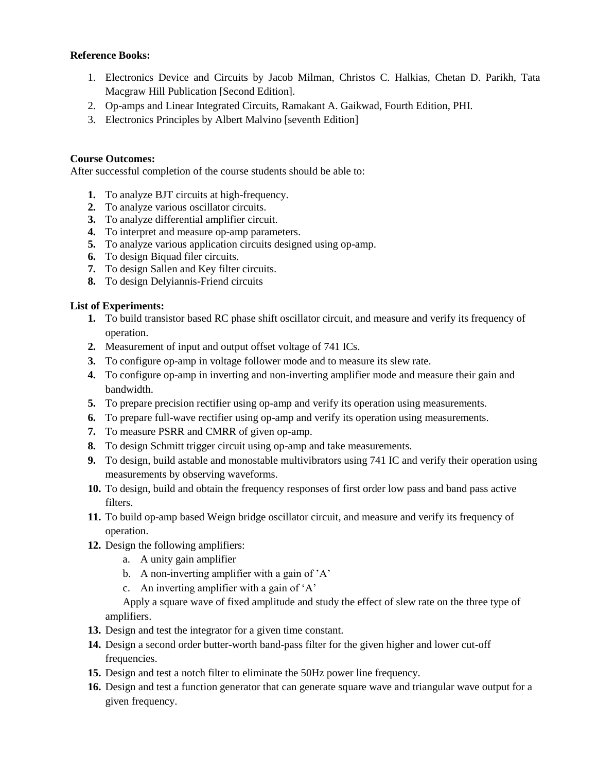#### **Reference Books:**

- 1. Electronics Device and Circuits by Jacob Milman, Christos C. Halkias, Chetan D. Parikh, Tata Macgraw Hill Publication [Second Edition].
- 2. Op-amps and Linear Integrated Circuits, Ramakant A. Gaikwad, Fourth Edition, PHI.
- 3. Electronics Principles by Albert Malvino [seventh Edition]

### **Course Outcomes:**

After successful completion of the course students should be able to:

- **1.** To analyze BJT circuits at high-frequency.
- **2.** To analyze various oscillator circuits.
- **3.** To analyze differential amplifier circuit.
- **4.** To interpret and measure op-amp parameters.
- **5.** To analyze various application circuits designed using op-amp.
- **6.** To design Biquad filer circuits.
- **7.** To design Sallen and Key filter circuits.
- **8.** To design Delyiannis-Friend circuits

#### **List of Experiments:**

- **1.** To build transistor based RC phase shift oscillator circuit, and measure and verify its frequency of operation.
- **2.** Measurement of input and output offset voltage of 741 ICs.
- **3.** To configure op-amp in voltage follower mode and to measure its slew rate.
- **4.** To configure op-amp in inverting and non-inverting amplifier mode and measure their gain and bandwidth.
- **5.** To prepare precision rectifier using op-amp and verify its operation using measurements.
- **6.** To prepare full-wave rectifier using op-amp and verify its operation using measurements.
- **7.** To measure PSRR and CMRR of given op-amp.
- **8.** To design Schmitt trigger circuit using op-amp and take measurements.
- **9.** To design, build astable and monostable multivibrators using 741 IC and verify their operation using measurements by observing waveforms.
- **10.** To design, build and obtain the frequency responses of first order low pass and band pass active filters.
- **11.** To build op-amp based Weign bridge oscillator circuit, and measure and verify its frequency of operation.
- **12.** Design the following amplifiers:
	- a. A unity gain amplifier
	- b. A non-inverting amplifier with a gain of 'A'
	- c. An inverting amplifier with a gain of 'A'

Apply a square wave of fixed amplitude and study the effect of slew rate on the three type of amplifiers.

- **13.** Design and test the integrator for a given time constant.
- **14.** Design a second order butter-worth band-pass filter for the given higher and lower cut-off frequencies.
- **15.** Design and test a notch filter to eliminate the 50Hz power line frequency.
- **16.** Design and test a function generator that can generate square wave and triangular wave output for a given frequency.